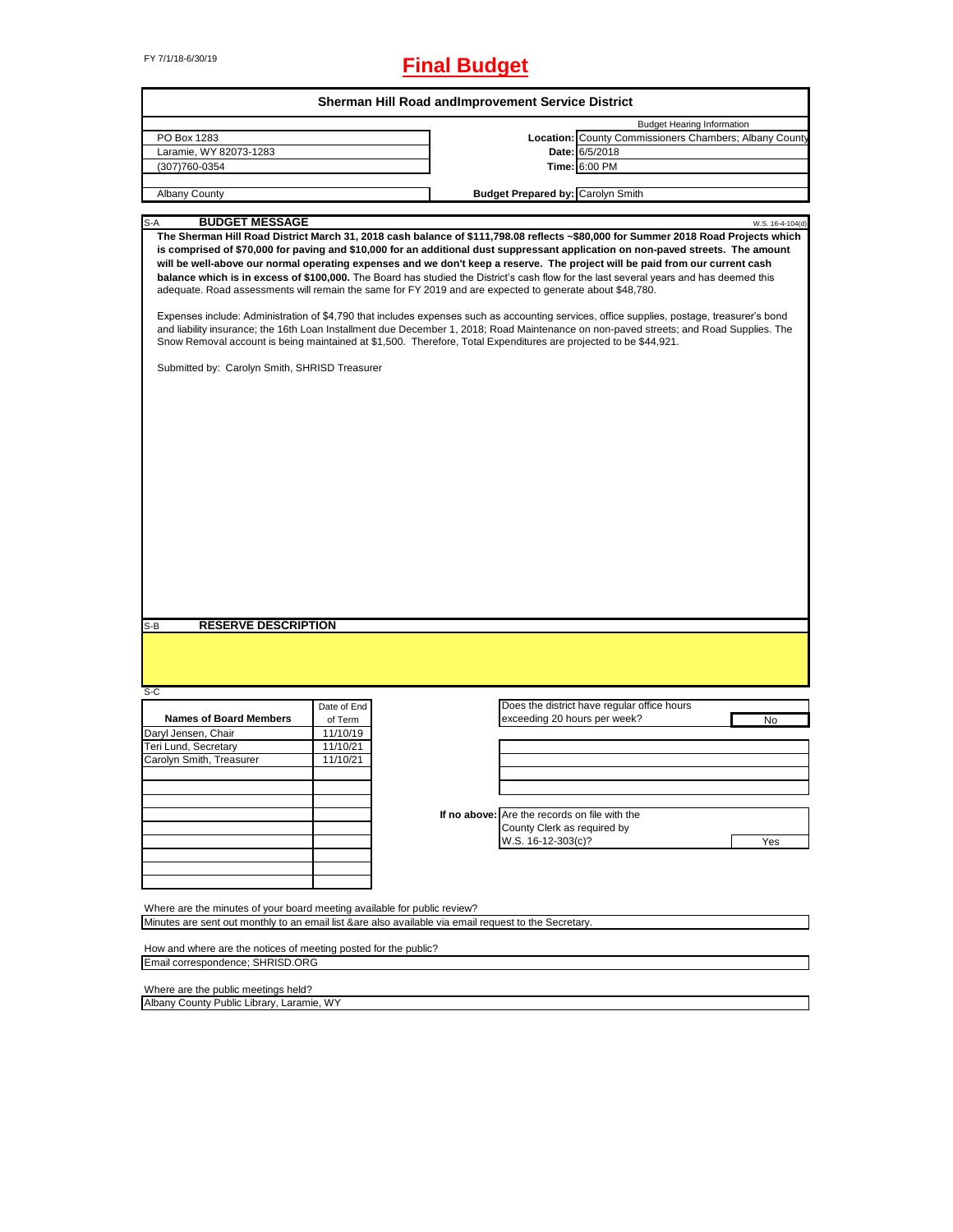# FY 7/1/18-6/30/19 **Final Budget**

|                                                                                                                                                                                                                                                                               |             | Sherman Hill Road and Improvement Service District |                                               |                                                                                                                                                                                                                                                                                                                                                                                                                                                                                                                                                                                                                                                                                                    |
|-------------------------------------------------------------------------------------------------------------------------------------------------------------------------------------------------------------------------------------------------------------------------------|-------------|----------------------------------------------------|-----------------------------------------------|----------------------------------------------------------------------------------------------------------------------------------------------------------------------------------------------------------------------------------------------------------------------------------------------------------------------------------------------------------------------------------------------------------------------------------------------------------------------------------------------------------------------------------------------------------------------------------------------------------------------------------------------------------------------------------------------------|
|                                                                                                                                                                                                                                                                               |             |                                                    |                                               | <b>Budget Hearing Information</b>                                                                                                                                                                                                                                                                                                                                                                                                                                                                                                                                                                                                                                                                  |
| PO Box 1283                                                                                                                                                                                                                                                                   |             |                                                    |                                               | Location: County Commissioners Chambers; Albany County                                                                                                                                                                                                                                                                                                                                                                                                                                                                                                                                                                                                                                             |
| Laramie, WY 82073-1283                                                                                                                                                                                                                                                        |             |                                                    |                                               | Date: 6/5/2018                                                                                                                                                                                                                                                                                                                                                                                                                                                                                                                                                                                                                                                                                     |
| (307)760-0354                                                                                                                                                                                                                                                                 |             |                                                    |                                               | Time: 6:00 PM                                                                                                                                                                                                                                                                                                                                                                                                                                                                                                                                                                                                                                                                                      |
|                                                                                                                                                                                                                                                                               |             |                                                    |                                               |                                                                                                                                                                                                                                                                                                                                                                                                                                                                                                                                                                                                                                                                                                    |
| Albany County                                                                                                                                                                                                                                                                 |             |                                                    | <b>Budget Prepared by: Carolyn Smith</b>      |                                                                                                                                                                                                                                                                                                                                                                                                                                                                                                                                                                                                                                                                                                    |
|                                                                                                                                                                                                                                                                               |             |                                                    |                                               |                                                                                                                                                                                                                                                                                                                                                                                                                                                                                                                                                                                                                                                                                                    |
| <b>BUDGET MESSAGE</b><br>S-A                                                                                                                                                                                                                                                  |             |                                                    |                                               | W.S. 16-4-104(d)<br>The Sherman Hill Road District March 31, 2018 cash balance of \$111,798.08 reflects ~\$80,000 for Summer 2018 Road Projects which                                                                                                                                                                                                                                                                                                                                                                                                                                                                                                                                              |
| adequate. Road assessments will remain the same for FY 2019 and are expected to generate about \$48,780.<br>Snow Removal account is being maintained at \$1,500. Therefore, Total Expenditures are projected to be \$44,921.<br>Submitted by: Carolyn Smith, SHRISD Treasurer |             |                                                    |                                               | is comprised of \$70,000 for paving and \$10,000 for an additional dust suppressant application on non-paved streets. The amount<br>will be well-above our normal operating expenses and we don't keep a reserve. The project will be paid from our current cash<br>balance which is in excess of \$100,000. The Board has studied the District's cash flow for the last several years and has deemed this<br>Expenses include: Administration of \$4,790 that includes expenses such as accounting services, office supplies, postage, treasurer's bond<br>and liability insurance; the 16th Loan Installment due December 1, 2018; Road Maintenance on non-paved streets; and Road Supplies. The |
|                                                                                                                                                                                                                                                                               |             |                                                    |                                               |                                                                                                                                                                                                                                                                                                                                                                                                                                                                                                                                                                                                                                                                                                    |
| <b>RESERVE DESCRIPTION</b><br>$S-B$                                                                                                                                                                                                                                           |             |                                                    |                                               |                                                                                                                                                                                                                                                                                                                                                                                                                                                                                                                                                                                                                                                                                                    |
| $S-C$                                                                                                                                                                                                                                                                         |             |                                                    |                                               |                                                                                                                                                                                                                                                                                                                                                                                                                                                                                                                                                                                                                                                                                                    |
|                                                                                                                                                                                                                                                                               | Date of End |                                                    |                                               | Does the district have regular office hours                                                                                                                                                                                                                                                                                                                                                                                                                                                                                                                                                                                                                                                        |
| <b>Names of Board Members</b>                                                                                                                                                                                                                                                 | of Term     |                                                    | exceeding 20 hours per week?                  | No                                                                                                                                                                                                                                                                                                                                                                                                                                                                                                                                                                                                                                                                                                 |
| Daryl Jensen, Chair                                                                                                                                                                                                                                                           | 11/10/19    |                                                    |                                               |                                                                                                                                                                                                                                                                                                                                                                                                                                                                                                                                                                                                                                                                                                    |
| Teri Lund, Secretary                                                                                                                                                                                                                                                          | 11/10/21    |                                                    |                                               |                                                                                                                                                                                                                                                                                                                                                                                                                                                                                                                                                                                                                                                                                                    |
| Carolyn Smith, Treasurer                                                                                                                                                                                                                                                      | 11/10/21    |                                                    |                                               |                                                                                                                                                                                                                                                                                                                                                                                                                                                                                                                                                                                                                                                                                                    |
|                                                                                                                                                                                                                                                                               |             |                                                    |                                               |                                                                                                                                                                                                                                                                                                                                                                                                                                                                                                                                                                                                                                                                                                    |
|                                                                                                                                                                                                                                                                               |             |                                                    |                                               |                                                                                                                                                                                                                                                                                                                                                                                                                                                                                                                                                                                                                                                                                                    |
|                                                                                                                                                                                                                                                                               |             |                                                    |                                               |                                                                                                                                                                                                                                                                                                                                                                                                                                                                                                                                                                                                                                                                                                    |
|                                                                                                                                                                                                                                                                               |             |                                                    | If no above: Are the records on file with the |                                                                                                                                                                                                                                                                                                                                                                                                                                                                                                                                                                                                                                                                                                    |
|                                                                                                                                                                                                                                                                               |             |                                                    | County Clerk as required by                   |                                                                                                                                                                                                                                                                                                                                                                                                                                                                                                                                                                                                                                                                                                    |
|                                                                                                                                                                                                                                                                               |             |                                                    | W.S. 16-12-303(c)?                            | Yes                                                                                                                                                                                                                                                                                                                                                                                                                                                                                                                                                                                                                                                                                                |
|                                                                                                                                                                                                                                                                               |             |                                                    |                                               |                                                                                                                                                                                                                                                                                                                                                                                                                                                                                                                                                                                                                                                                                                    |
|                                                                                                                                                                                                                                                                               |             |                                                    |                                               |                                                                                                                                                                                                                                                                                                                                                                                                                                                                                                                                                                                                                                                                                                    |
|                                                                                                                                                                                                                                                                               |             |                                                    |                                               |                                                                                                                                                                                                                                                                                                                                                                                                                                                                                                                                                                                                                                                                                                    |
|                                                                                                                                                                                                                                                                               |             |                                                    |                                               |                                                                                                                                                                                                                                                                                                                                                                                                                                                                                                                                                                                                                                                                                                    |
| Where are the minutes of your board meeting available for public review?                                                                                                                                                                                                      |             |                                                    |                                               |                                                                                                                                                                                                                                                                                                                                                                                                                                                                                                                                                                                                                                                                                                    |
| Minutes are sent out monthly to an email list &are also available via email request to the Secretary.                                                                                                                                                                         |             |                                                    |                                               |                                                                                                                                                                                                                                                                                                                                                                                                                                                                                                                                                                                                                                                                                                    |
|                                                                                                                                                                                                                                                                               |             |                                                    |                                               |                                                                                                                                                                                                                                                                                                                                                                                                                                                                                                                                                                                                                                                                                                    |
| How and where are the notices of meeting posted for the public?                                                                                                                                                                                                               |             |                                                    |                                               |                                                                                                                                                                                                                                                                                                                                                                                                                                                                                                                                                                                                                                                                                                    |
| Email correspondence; SHRISD.ORG                                                                                                                                                                                                                                              |             |                                                    |                                               |                                                                                                                                                                                                                                                                                                                                                                                                                                                                                                                                                                                                                                                                                                    |
|                                                                                                                                                                                                                                                                               |             |                                                    |                                               |                                                                                                                                                                                                                                                                                                                                                                                                                                                                                                                                                                                                                                                                                                    |

Where are the public meetings held?

Albany County Public Library, Laramie, WY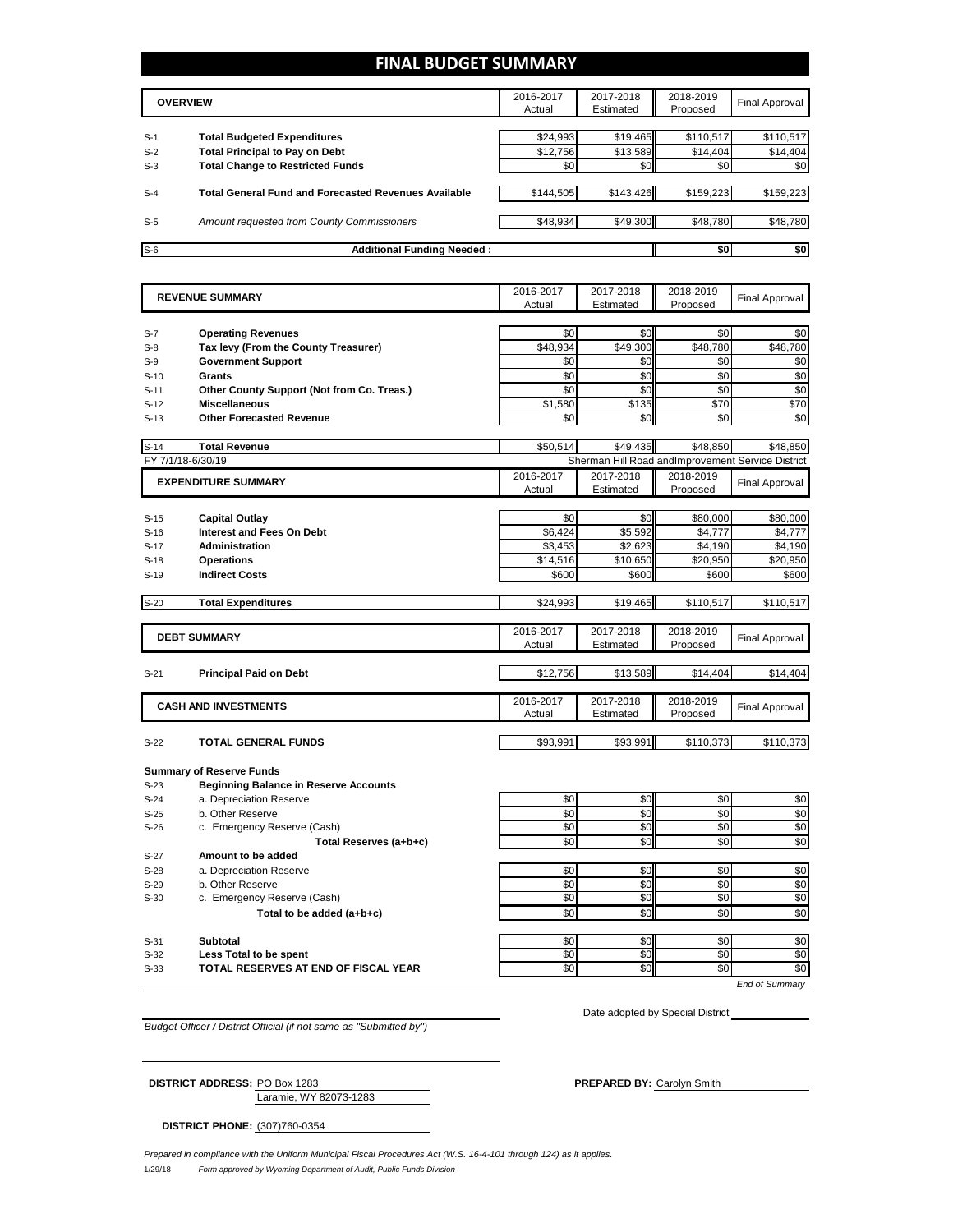## **FINAL BUDGET SUMMARY**

|       | <b>OVERVIEW</b>                                             | 2016-2017<br>Actual | 2017-2018<br>Estimated | 2018-2019<br>Proposed | Final Approval |
|-------|-------------------------------------------------------------|---------------------|------------------------|-----------------------|----------------|
|       |                                                             |                     |                        |                       |                |
| $S-1$ | <b>Total Budgeted Expenditures</b>                          | \$24,993            | \$19,465               | \$110,517             | \$110,517      |
| $S-2$ | <b>Total Principal to Pay on Debt</b>                       | \$12,756            | \$13,589               | \$14.404              | \$14,404       |
| $S-3$ | <b>Total Change to Restricted Funds</b>                     | \$0                 | \$0                    | \$0                   | \$0            |
|       |                                                             |                     |                        |                       |                |
| $S-4$ | <b>Total General Fund and Forecasted Revenues Available</b> | \$144.505           | \$143,426              | \$159,223             | \$159,223      |
|       |                                                             |                     |                        |                       |                |
| $S-5$ | Amount requested from County Commissioners                  | \$48,934            | \$49,300               | \$48,780              | \$48,780       |
|       |                                                             |                     |                        |                       |                |
| $S-6$ | <b>Additional Funding Needed:</b>                           |                     |                        | \$0                   | \$0            |

|                   | <b>REVENUE SUMMARY</b>                       | 2016-2017 | 2017-2018 | 2018-2019 | <b>Final Approval</b>                             |
|-------------------|----------------------------------------------|-----------|-----------|-----------|---------------------------------------------------|
|                   |                                              | Actual    | Estimated | Proposed  |                                                   |
|                   |                                              |           |           |           |                                                   |
| $S-7$             | <b>Operating Revenues</b>                    | \$0       | \$0       | \$0       | \$0                                               |
| $S-8$             | Tax levy (From the County Treasurer)         | \$48,934  | \$49,300  | \$48,780  | \$48,780                                          |
| $S-9$             | <b>Government Support</b>                    | \$0       | \$0       | \$0       | \$0                                               |
| $S-10$            | Grants                                       | \$0       | \$0       | \$0       | \$0                                               |
| $S-11$            | Other County Support (Not from Co. Treas.)   | \$0       | \$0       | \$0       | \$0                                               |
| $S-12$            | <b>Miscellaneous</b>                         | \$1.580   | \$135     | \$70      | \$70                                              |
| $S-13$            | <b>Other Forecasted Revenue</b>              | \$0       | \$0       | \$0       | \$0                                               |
| $S-14$            | <b>Total Revenue</b>                         | \$50,514  | \$49,435  | \$48,850  | \$48,850                                          |
| FY 7/1/18-6/30/19 |                                              |           |           |           | Sherman Hill Road andImprovement Service District |
|                   | <b>EXPENDITURE SUMMARY</b>                   | 2016-2017 | 2017-2018 | 2018-2019 | <b>Final Approval</b>                             |
|                   |                                              | Actual    | Estimated | Proposed  |                                                   |
|                   |                                              |           |           |           |                                                   |
| $S-15$            | <b>Capital Outlay</b>                        | \$0       | \$0       | \$80,000  | \$80,000                                          |
| $S-16$            | Interest and Fees On Debt                    | \$6,424   | \$5,592   | \$4,777   | \$4,777                                           |
| $S-17$            | <b>Administration</b>                        | \$3,453   | \$2,623   | \$4,190   | \$4,190                                           |
| $S-18$            | <b>Operations</b>                            | \$14,516  | \$10,650  | \$20,950  | \$20,950                                          |
| $S-19$            | <b>Indirect Costs</b>                        | \$600     | \$600     | \$600     | \$600                                             |
| $S-20$            | <b>Total Expenditures</b>                    | \$24,993  | \$19,465  | \$110,517 | \$110,517                                         |
|                   |                                              |           |           |           |                                                   |
|                   | <b>DEBT SUMMARY</b>                          | 2016-2017 | 2017-2018 | 2018-2019 | <b>Final Approval</b>                             |
|                   |                                              | Actual    | Estimated | Proposed  |                                                   |
|                   |                                              |           |           |           |                                                   |
| $S-21$            | <b>Principal Paid on Debt</b>                | \$12,756  | \$13,589  | \$14,404  | \$14,404                                          |
|                   |                                              | 2016-2017 | 2017-2018 | 2018-2019 |                                                   |
|                   | <b>CASH AND INVESTMENTS</b>                  | Actual    | Estimated | Proposed  | <b>Final Approval</b>                             |
|                   |                                              |           |           |           |                                                   |
| $S-22$            | <b>TOTAL GENERAL FUNDS</b>                   | \$93,991  | \$93,991  | \$110,373 | \$110,373                                         |
|                   | <b>Summary of Reserve Funds</b>              |           |           |           |                                                   |
| $S-23$            | <b>Beginning Balance in Reserve Accounts</b> |           |           |           |                                                   |
| $S-24$            | a. Depreciation Reserve                      | \$0       | \$0       | \$0       | \$0                                               |
| $S-25$            | b. Other Reserve                             | \$0       | \$0       | \$0       | \$0                                               |
| $S-26$            | c. Emergency Reserve (Cash)                  | \$0       | \$0       | \$0       | \$0                                               |
|                   | Total Reserves (a+b+c)                       | \$0       | \$0       | \$0       | $\overline{50}$                                   |
| $S-27$            | Amount to be added                           |           |           |           |                                                   |
| $S-28$            | a. Depreciation Reserve                      | \$0       | \$0       | \$0       | \$0                                               |
| $S-29$            | b. Other Reserve                             | \$0       | \$0       | \$0       | \$0                                               |
| $S-30$            | c. Emergency Reserve (Cash)                  | \$0       | \$0       | \$0       | \$0                                               |
|                   | Total to be added (a+b+c)                    | \$0       | \$0       | \$0       | \$0                                               |
|                   |                                              |           |           |           |                                                   |
| $S-31$            | <b>Subtotal</b>                              | \$0       | \$0       | \$0       | \$0                                               |
| $S-32$            | Less Total to be spent                       | \$0       | \$0       | \$0       | \$0                                               |
| $S-33$            | TOTAL RESERVES AT END OF FISCAL YEAR         | \$0       | \$0       | \$0       | \$0                                               |
|                   |                                              |           |           |           | <b>End of Summarv</b>                             |

*Budget Officer / District Official (if not same as "Submitted by")*

Date adopted by Special District

Laramie, WY 82073-1283 **DISTRICT ADDRESS:** PO Box 1283 **PREPARED BY:** Carolyn Smith

**DISTRICT PHONE:** (307)760-0354

1/29/18 *Form approved by Wyoming Department of Audit, Public Funds Division Prepared in compliance with the Uniform Municipal Fiscal Procedures Act (W.S. 16-4-101 through 124) as it applies.*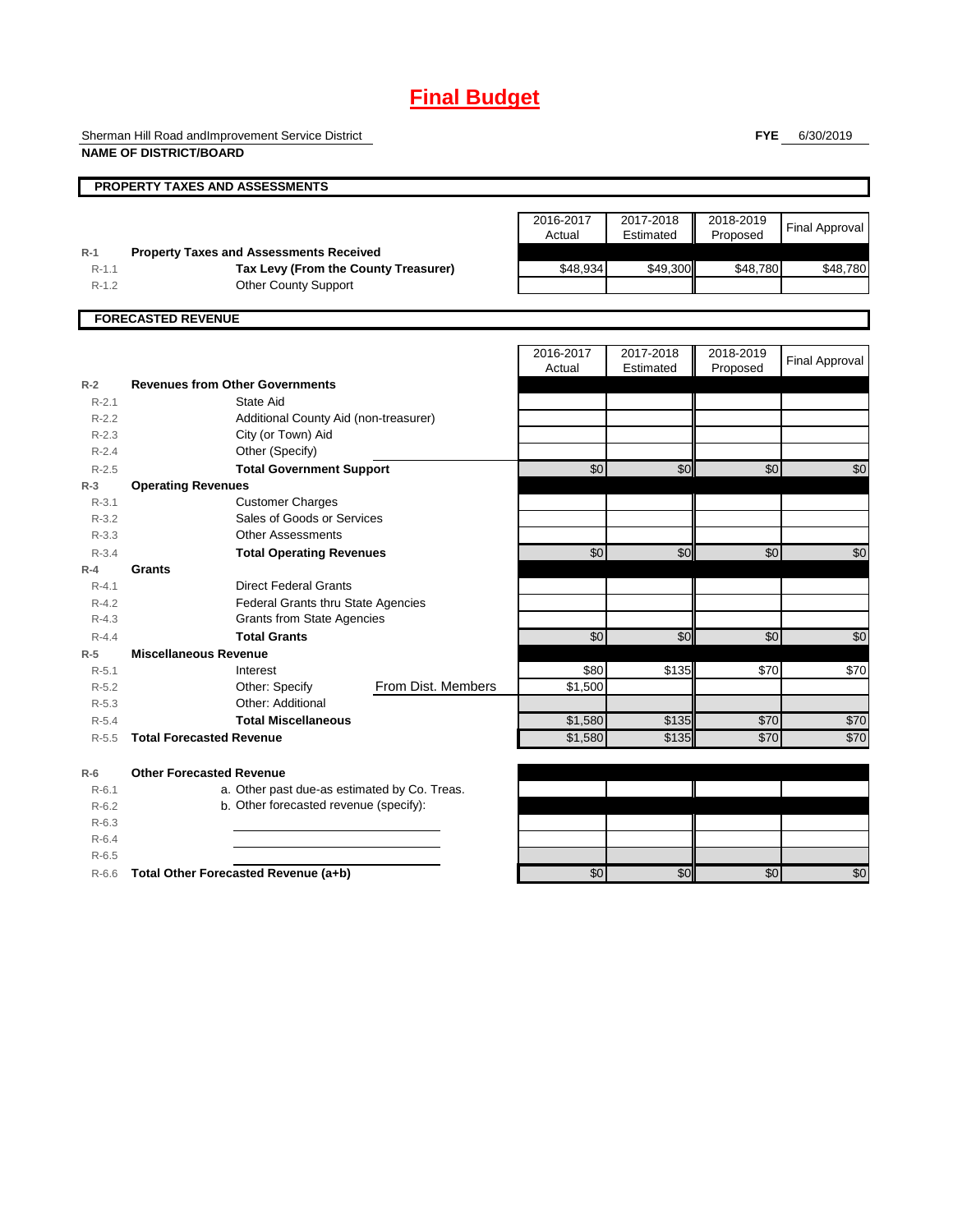# **Final Budget**

Sherman Hill Road andImprovement Service District **NAME OF DISTRICT/BOARD**

**FYE** 6/30/2019

|           | PROPERTY TAXES AND ASSESSMENTS                 |                    |                 |           |                 |                       |
|-----------|------------------------------------------------|--------------------|-----------------|-----------|-----------------|-----------------------|
|           |                                                |                    |                 |           |                 |                       |
|           |                                                |                    | 2016-2017       | 2017-2018 | 2018-2019       | <b>Final Approval</b> |
|           |                                                |                    | Actual          | Estimated | Proposed        |                       |
| $R-1$     | <b>Property Taxes and Assessments Received</b> |                    |                 |           |                 |                       |
| $R-1.1$   | Tax Levy (From the County Treasurer)           |                    | \$48,934        | \$49,300  | \$48,780        | \$48,780              |
| $R-1.2$   | <b>Other County Support</b>                    |                    |                 |           |                 |                       |
|           |                                                |                    |                 |           |                 |                       |
|           | <b>FORECASTED REVENUE</b>                      |                    |                 |           |                 |                       |
|           |                                                |                    | 2016-2017       | 2017-2018 | 2018-2019       |                       |
|           |                                                |                    | Actual          | Estimated | Proposed        | <b>Final Approval</b> |
| $R-2$     | <b>Revenues from Other Governments</b>         |                    |                 |           |                 |                       |
| $R-2.1$   | State Aid                                      |                    |                 |           |                 |                       |
| $R - 2.2$ | Additional County Aid (non-treasurer)          |                    |                 |           |                 |                       |
| $R-2.3$   | City (or Town) Aid                             |                    |                 |           |                 |                       |
| $R-2.4$   | Other (Specify)                                |                    |                 |           |                 |                       |
| $R-2.5$   | <b>Total Government Support</b>                |                    | $\overline{60}$ | \$0       | \$0             | \$0                   |
| $R-3$     | <b>Operating Revenues</b>                      |                    |                 |           |                 |                       |
| $R - 3.1$ | <b>Customer Charges</b>                        |                    |                 |           |                 |                       |
| $R - 3.2$ | Sales of Goods or Services                     |                    |                 |           |                 |                       |
| $R - 3.3$ | <b>Other Assessments</b>                       |                    |                 |           |                 |                       |
| $R - 3.4$ | <b>Total Operating Revenues</b>                |                    | \$0             | \$0       | \$0             | \$0                   |
| $R-4$     | Grants                                         |                    |                 |           |                 |                       |
| $R - 4.1$ | <b>Direct Federal Grants</b>                   |                    |                 |           |                 |                       |
| $R - 4.2$ | <b>Federal Grants thru State Agencies</b>      |                    |                 |           |                 |                       |
| $R - 4.3$ | <b>Grants from State Agencies</b>              |                    |                 |           |                 |                       |
| $R - 4.4$ | <b>Total Grants</b>                            |                    | $\overline{60}$ | \$0       | $\overline{50}$ | \$0                   |
| $R-5$     | <b>Miscellaneous Revenue</b>                   |                    |                 |           |                 |                       |
| $R - 5.1$ | Interest                                       |                    | \$80            | \$135     | \$70            | \$70                  |
| $R-5.2$   | Other: Specify                                 | From Dist. Members | \$1,500         |           |                 |                       |
| $R - 5.3$ | Other: Additional                              |                    |                 |           |                 |                       |
| $R - 5.4$ | <b>Total Miscellaneous</b>                     |                    | \$1,580         | \$135     | \$70            | \$70                  |
| $R - 5.5$ | <b>Total Forecasted Revenue</b>                |                    | \$1,580         | \$135     | \$70            | \$70                  |
| $R-6$     | <b>Other Forecasted Revenue</b>                |                    |                 |           |                 |                       |
| $R - 6.1$ | a. Other past due-as estimated by Co. Treas.   |                    |                 |           |                 |                       |
| $R-6.2$   | b. Other forecasted revenue (specify):         |                    |                 |           |                 |                       |
| $R-6.3$   |                                                |                    |                 |           |                 |                       |
| $R-6.4$   |                                                |                    |                 |           |                 |                       |
| $R - 6.5$ |                                                |                    |                 |           |                 |                       |
| $R-6.6$   | Total Other Forecasted Revenue (a+b)           |                    | \$0             | \$0       | \$0             | \$0                   |
|           |                                                |                    |                 |           |                 |                       |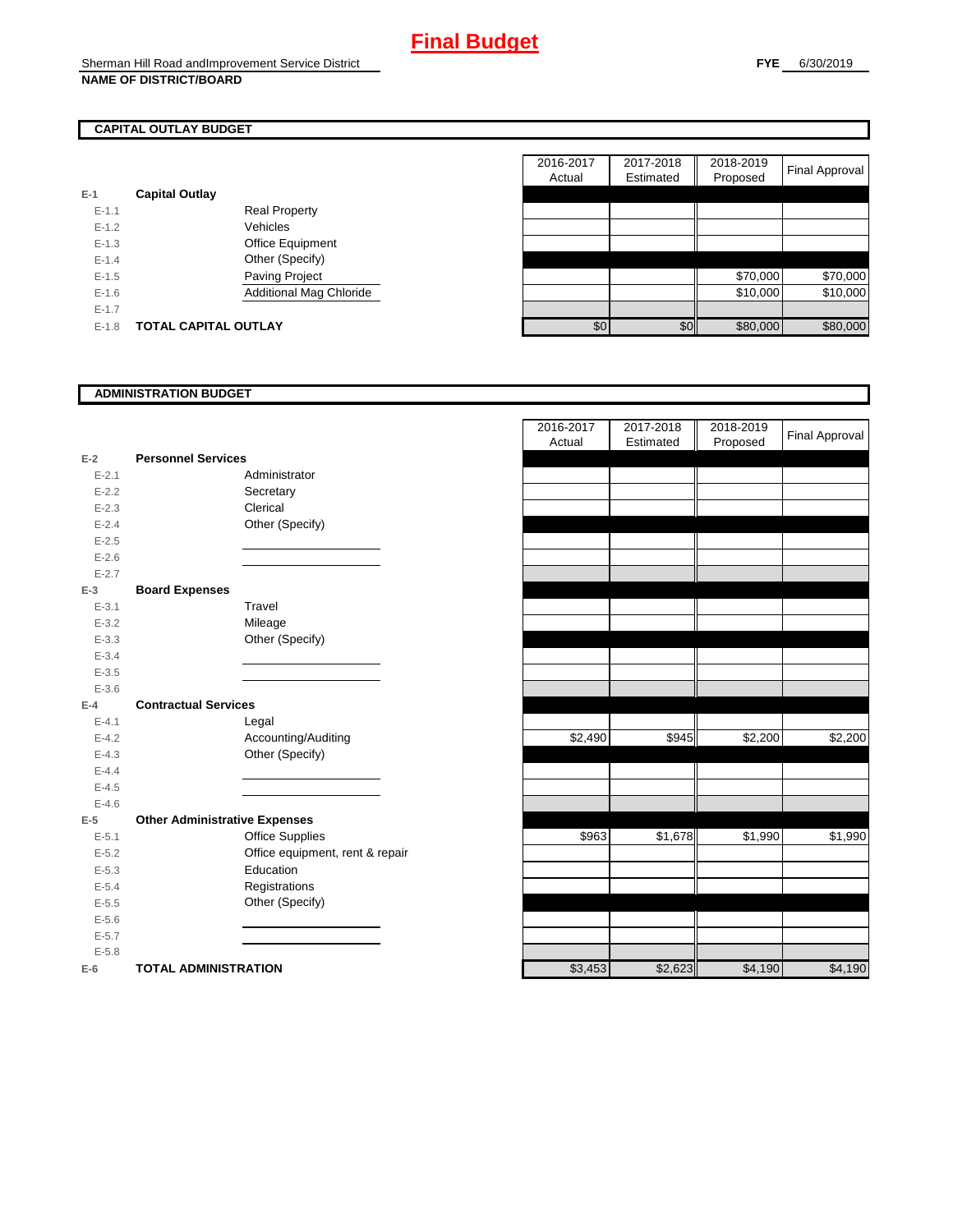## **CAPITAL OUTLAY BUDGET**

| $E-1$   | <b>Capital Outlay</b> |                                |
|---------|-----------------------|--------------------------------|
| $F-11$  |                       | <b>Real Property</b>           |
| $F-12$  |                       | Vehicles                       |
| $F-1.3$ |                       | <b>Office Equipment</b>        |
| $F-14$  |                       | Other (Specify)                |
| $F-1.5$ |                       | <b>Paving Project</b>          |
| $F-16$  |                       | <b>Additional Mag Chloride</b> |
| $F-17$  |                       |                                |
| $F-1.8$ | TOTAL CAPITAL OUTLAY  |                                |

|           |                             |                         | 2016-2017 | 2017-2018 | 2018-2019 |                |
|-----------|-----------------------------|-------------------------|-----------|-----------|-----------|----------------|
|           |                             |                         | Actual    | Estimated | Proposed  | Final Approval |
|           | <b>Capital Outlay</b>       |                         |           |           |           |                |
| $E-1.1$   |                             | <b>Real Property</b>    |           |           |           |                |
| $E - 1.2$ |                             | Vehicles                |           |           |           |                |
| $E-1.3$   |                             | Office Equipment        |           |           |           |                |
| $E - 1.4$ |                             | Other (Specify)         |           |           |           |                |
| $E-1.5$   |                             | <b>Paving Project</b>   |           |           | \$70,000  | \$70,000       |
| $E-1.6$   |                             | Additional Mag Chloride |           |           | \$10,000  | \$10,000       |
| $E - 1.7$ |                             |                         |           |           |           |                |
| $E-1.8$   | <b>TOTAL CAPITAL OUTLAY</b> |                         | \$0       | \$0       | \$80,000  | \$80,000       |

### **ADMINISTRATION BUDGET**

| $E-2$     | <b>Personnel Services</b>            |  |
|-----------|--------------------------------------|--|
| $E - 2.1$ | Administrator                        |  |
| $E - 2.2$ | Secretary                            |  |
| $E - 2.3$ | Clerical                             |  |
| $E-2.4$   | Other (Specify)                      |  |
| $E - 2.5$ |                                      |  |
| $E - 2.6$ |                                      |  |
| $E - 2.7$ |                                      |  |
| $E-3$     | <b>Board Expenses</b>                |  |
| $E - 3.1$ | Travel                               |  |
| $E - 3.2$ | Mileage                              |  |
| $E - 3.3$ | Other (Specify)                      |  |
| $E - 3.4$ |                                      |  |
| $E - 3.5$ |                                      |  |
| $E - 3.6$ |                                      |  |
| $E-4$     | <b>Contractual Services</b>          |  |
| $E - 4.1$ | Legal                                |  |
| $E - 4.2$ | Accounting/Auditing                  |  |
| $E - 4.3$ | Other (Specify)                      |  |
| $E - 4.4$ |                                      |  |
| $E - 4.5$ |                                      |  |
| $E - 4.6$ |                                      |  |
| $E-5$     | <b>Other Administrative Expenses</b> |  |
| $E - 5.1$ | <b>Office Supplies</b>               |  |
| $E - 5.2$ | Office equipment, rent & repair      |  |
| $E - 5.3$ | Education                            |  |
| $E - 5.4$ | Registrations                        |  |
| $E - 5.5$ | Other (Specify)                      |  |
| $E - 5.6$ |                                      |  |
| $E - 5.7$ |                                      |  |
| $E - 5.8$ |                                      |  |
| $E-6$     | <b>TOTAL ADMINISTRATION</b>          |  |

|                          |                                      | 2016-2017<br>Actual | 2017-2018<br>Estimated | 2018-2019<br>Proposed | <b>Final Approval</b> |
|--------------------------|--------------------------------------|---------------------|------------------------|-----------------------|-----------------------|
| Ž                        | <b>Personnel Services</b>            |                     |                        |                       |                       |
| $E - 2.1$                | Administrator                        |                     |                        |                       |                       |
| $E - 2.2$                | Secretary                            |                     |                        |                       |                       |
| $E - 2.3$                | Clerical                             |                     |                        |                       |                       |
| $E - 2.4$                | Other (Specify)                      |                     |                        |                       |                       |
| $E - 2.5$                |                                      |                     |                        |                       |                       |
| $E - 2.6$                |                                      |                     |                        |                       |                       |
| $E - 2.7$                |                                      |                     |                        |                       |                       |
| <sup>3</sup>             | <b>Board Expenses</b>                |                     |                        |                       |                       |
| $E - 3.1$                | Travel                               |                     |                        |                       |                       |
| $E - 3.2$                | Mileage                              |                     |                        |                       |                       |
| $E - 3.3$                | Other (Specify)                      |                     |                        |                       |                       |
| $E - 3.4$                |                                      |                     |                        |                       |                       |
| $E - 3.5$                |                                      |                     |                        |                       |                       |
| $E - 3.6$                |                                      |                     |                        |                       |                       |
| ļ.                       | <b>Contractual Services</b>          |                     |                        |                       |                       |
| $E - 4.1$                | Legal                                |                     |                        |                       |                       |
| $E - 4.2$                | Accounting/Auditing                  | \$2,490             | \$945                  | \$2,200               | \$2,200               |
| $E - 4.3$                | Other (Specify)                      |                     |                        |                       |                       |
| $E - 4.4$                |                                      |                     |                        |                       |                       |
| $E - 4.5$                |                                      |                     |                        |                       |                       |
| $E - 4.6$                |                                      |                     |                        |                       |                       |
| $\overline{\phantom{1}}$ | <b>Other Administrative Expenses</b> |                     |                        |                       |                       |
| $E - 5.1$                | <b>Office Supplies</b>               | \$963               | \$1,678                | \$1,990               | \$1,990               |
| $E - 5.2$                | Office equipment, rent & repair      |                     |                        |                       |                       |
| $E - 5.3$                | Education                            |                     |                        |                       |                       |
| $E - 5.4$                | Registrations                        |                     |                        |                       |                       |
| $E - 5.5$                | Other (Specify)                      |                     |                        |                       |                       |
| $E - 5.6$                |                                      |                     |                        |                       |                       |
| $E - 5.7$                |                                      |                     |                        |                       |                       |
| $E - 5.8$                |                                      |                     |                        |                       |                       |
| ì                        | <b>TOTAL ADMINISTRATION</b>          | \$3,453             | \$2,623                | \$4,190               | \$4,190               |
|                          |                                      |                     |                        |                       |                       |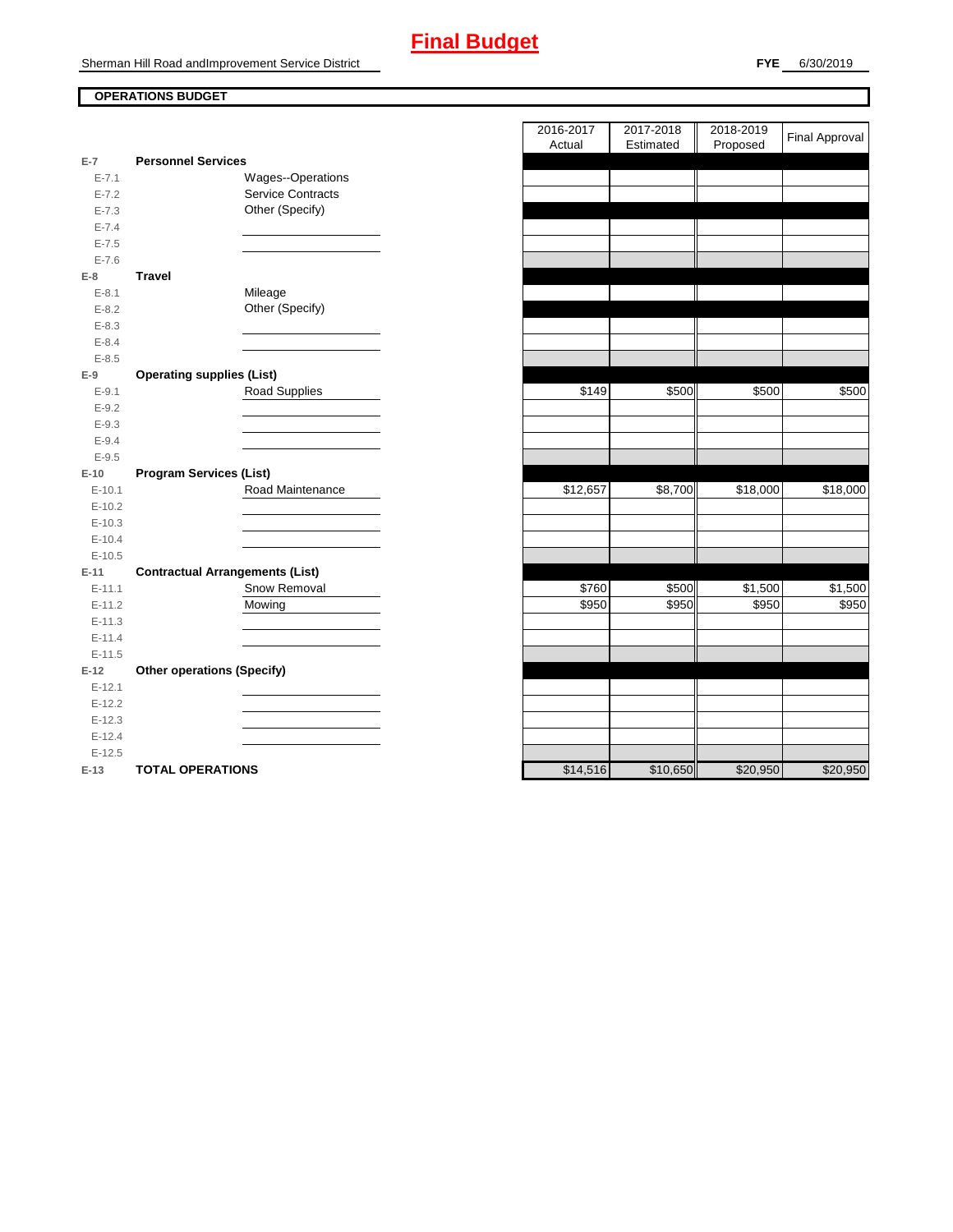# **Final Budget**

Sherman Hill Road andImprovement Service District

## **OPERATIONS BUDGET**

| $E-7$      | <b>Personnel Services</b>              |                          |
|------------|----------------------------------------|--------------------------|
| $E - 7.1$  |                                        | Wages--Operations        |
| $E - 7.2$  |                                        | <b>Service Contracts</b> |
| $E - 7.3$  |                                        | Other (Specify)          |
| $E - 7.4$  |                                        |                          |
| $E - 7.5$  |                                        |                          |
| $E - 7.6$  |                                        |                          |
| E-8        | <b>Travel</b>                          |                          |
| $E - 8.1$  |                                        | Mileage                  |
| $E-8.2$    |                                        | Other (Specify)          |
| $E - 8.3$  |                                        |                          |
| $E - 8.4$  |                                        |                          |
| $E - 8.5$  |                                        |                          |
| E-9        | <b>Operating supplies (List)</b>       |                          |
| $E - 9.1$  |                                        | <b>Road Supplies</b>     |
| $E - 9.2$  |                                        |                          |
| $E - 9.3$  |                                        |                          |
| $E - 9.4$  |                                        |                          |
| $E - 9.5$  |                                        |                          |
|            |                                        |                          |
| $E-10$     | <b>Program Services (List)</b>         |                          |
| $E-10.1$   |                                        | Road Maintenance         |
| $E-10.2$   |                                        |                          |
| $E-10.3$   |                                        |                          |
| $E-10.4$   |                                        |                          |
| $E-10.5$   |                                        |                          |
| $E-11$     | <b>Contractual Arrangements (List)</b> |                          |
| $E-11.1$   |                                        | Snow Removal             |
| $E-11.2$   |                                        | Mowing                   |
| $E - 11.3$ |                                        |                          |
| $E-11.4$   |                                        |                          |
| $E-11.5$   |                                        |                          |
| $E-12$     | <b>Other operations (Specify)</b>      |                          |
| $E-12.1$   |                                        |                          |
| $E-12.2$   |                                        |                          |
| $E-12.3$   |                                        |                          |
| $E-12.4$   |                                        |                          |
| $E-12.5$   |                                        |                          |

|                |                                        | 2016-2017 | 2017-2018 | 2018-2019 | <b>Final Approval</b> |
|----------------|----------------------------------------|-----------|-----------|-----------|-----------------------|
| $\overline{7}$ | <b>Personnel Services</b>              | Actual    | Estimated | Proposed  |                       |
| $E - 7.1$      | Wages--Operations                      |           |           |           |                       |
| $E - 7.2$      | <b>Service Contracts</b>               |           |           |           |                       |
| $E - 7.3$      | Other (Specify)                        |           |           |           |                       |
| $E - 7.4$      |                                        |           |           |           |                       |
| $E - 7.5$      |                                        |           |           |           |                       |
| $E - 7.6$      |                                        |           |           |           |                       |
| 8              | <b>Travel</b>                          |           |           |           |                       |
| $E-8.1$        | Mileage                                |           |           |           |                       |
| $E - 8.2$      | Other (Specify)                        |           |           |           |                       |
| $E - 8.3$      |                                        |           |           |           |                       |
| $E - 8.4$      |                                        |           |           |           |                       |
| $E - 8.5$      |                                        |           |           |           |                       |
| 9              | <b>Operating supplies (List)</b>       |           |           |           |                       |
| $E-9.1$        | Road Supplies                          | \$149     | \$500     | \$500     | \$500                 |
| $E - 9.2$      |                                        |           |           |           |                       |
| $E - 9.3$      |                                        |           |           |           |                       |
| $E - 9.4$      |                                        |           |           |           |                       |
| $E - 9.5$      |                                        |           |           |           |                       |
| 10             | <b>Program Services (List)</b>         |           |           |           |                       |
| $E-10.1$       | Road Maintenance                       | \$12,657  | \$8,700   | \$18,000  | \$18,000              |
| $E-10.2$       |                                        |           |           |           |                       |
| $E-10.3$       |                                        |           |           |           |                       |
| $E-10.4$       |                                        |           |           |           |                       |
| $E-10.5$       |                                        |           |           |           |                       |
| 11             | <b>Contractual Arrangements (List)</b> |           |           |           |                       |
| $E-11.1$       | Snow Removal                           | \$760     | \$500     | \$1,500   | \$1,500               |
| $E-11.2$       | Mowing                                 | \$950     | \$950     | \$950     | \$950                 |
| $E-11.3$       |                                        |           |           |           |                       |
| $E-11.4$       |                                        |           |           |           |                       |
| $E-11.5$       |                                        |           |           |           |                       |
| 12             | <b>Other operations (Specify)</b>      |           |           |           |                       |
| $E-12.1$       |                                        |           |           |           |                       |
| $E-12.2$       |                                        |           |           |           |                       |
| $E-12.3$       |                                        |           |           |           |                       |
| $E-12.4$       |                                        |           |           |           |                       |
| $E-12.5$       |                                        |           |           |           |                       |
| $-13$          | <b>TOTAL OPERATIONS</b>                | \$14.516  | \$10.650  | \$20.950  | \$20.950              |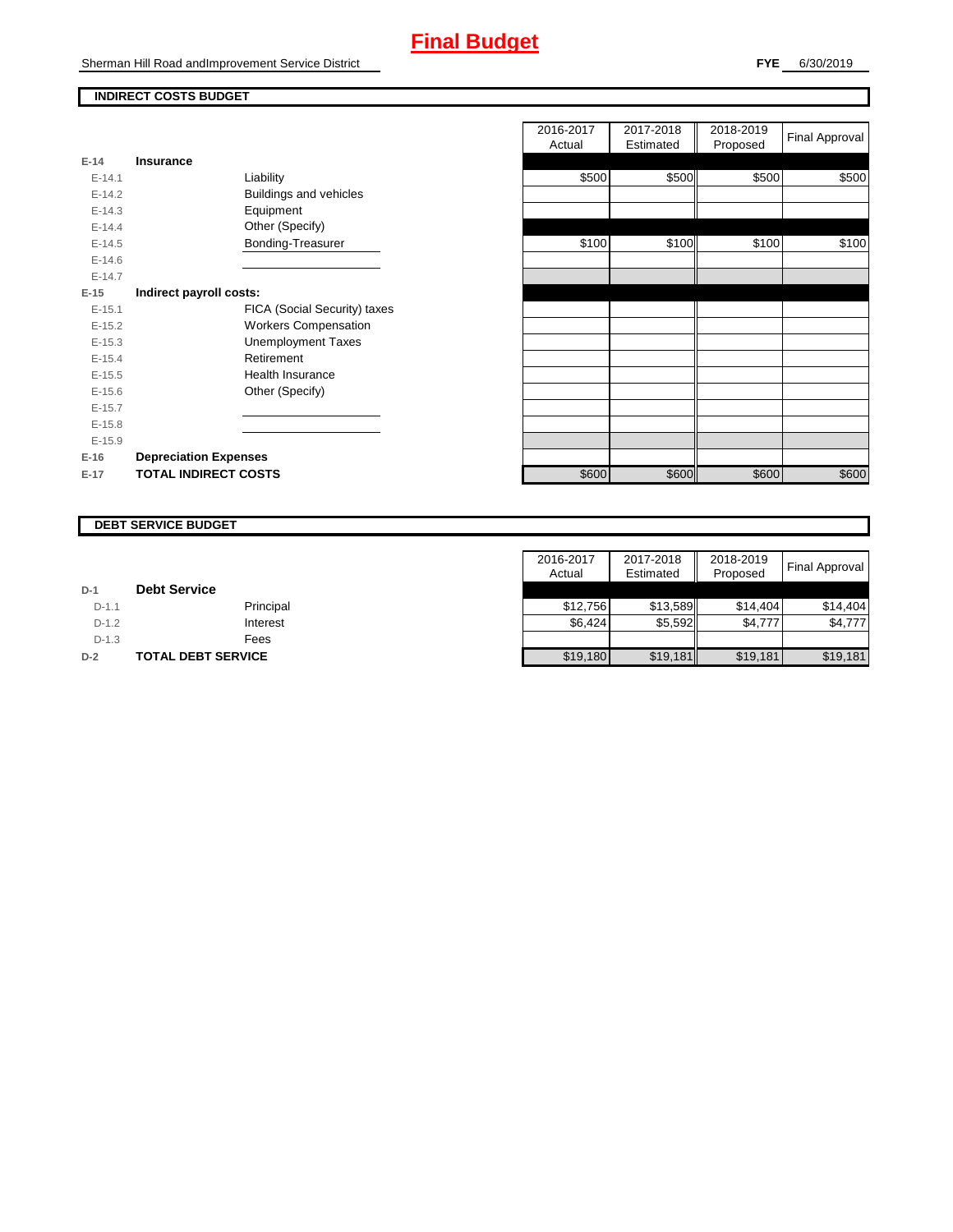# **Final Budget**

Sherman Hill Road andImprovement Service District

## **INDIRECT COSTS BUDGET**

| E-14       | Insurance                     |
|------------|-------------------------------|
| $F-141$    | Liability                     |
| $F-142$    | <b>Buildings and vehicles</b> |
| $F-14.3$   | Equipment                     |
| $F-144$    | Other (Specify)               |
| $E-14.5$   | Bonding-Treasurer             |
| $E - 14.6$ |                               |
| $F-147$    |                               |
| $E-15$     | Indirect payroll costs:       |
| $E - 15.1$ | FICA (Social Security) taxes  |
| $E-15.2$   | <b>Workers Compensation</b>   |
| $E-15.3$   | <b>Unemployment Taxes</b>     |
| $E-15.4$   | Retirement                    |
| $E-15.5$   | Health Insurance              |
| $E - 15.6$ | Other (Specify)               |
| $E-15.7$   |                               |
| $E-15.8$   |                               |
| $E-15.9$   |                               |
| $E-16$     | <b>Depreciation Expenses</b>  |
| $E-17$     | <b>TOTAL INDIRECT COSTS</b>   |

|          |                              | 2016-2017<br>Actual | 2017-2018<br>Estimated | 2018-2019<br>Proposed | Final Approval |
|----------|------------------------------|---------------------|------------------------|-----------------------|----------------|
| $E-14$   | <b>Insurance</b>             |                     |                        |                       |                |
| $E-14.1$ | Liability                    | \$500               | \$500                  | \$500                 | \$500          |
| $E-14.2$ | Buildings and vehicles       |                     |                        |                       |                |
| $E-14.3$ | Equipment                    |                     |                        |                       |                |
| $E-14.4$ | Other (Specify)              |                     |                        |                       |                |
| $E-14.5$ | Bonding-Treasurer            | \$100               | \$100                  | \$100                 | \$100          |
| $E-14.6$ |                              |                     |                        |                       |                |
| $E-14.7$ |                              |                     |                        |                       |                |
| $E-15$   | Indirect payroll costs:      |                     |                        |                       |                |
| $E-15.1$ | FICA (Social Security) taxes |                     |                        |                       |                |
| $E-15.2$ | <b>Workers Compensation</b>  |                     |                        |                       |                |
| $E-15.3$ | <b>Unemployment Taxes</b>    |                     |                        |                       |                |
| $E-15.4$ | Retirement                   |                     |                        |                       |                |
| $E-15.5$ | <b>Health Insurance</b>      |                     |                        |                       |                |
| $E-15.6$ | Other (Specify)              |                     |                        |                       |                |
| $E-15.7$ |                              |                     |                        |                       |                |
| $E-15.8$ |                              |                     |                        |                       |                |
| $E-15.9$ |                              |                     |                        |                       |                |
| $E-16$   | <b>Depreciation Expenses</b> |                     |                        |                       |                |
| $E-17$   | <b>TOTAL INDIRECT COSTS</b>  | \$600               | \$600                  | \$600                 | \$600          |
|          |                              |                     |                        |                       |                |

#### **DEBT SERVICE BUDGET**

|         |                     | 2016-2017 | 2017-2018 | 2018-2019 |                |
|---------|---------------------|-----------|-----------|-----------|----------------|
|         |                     | Actual    | Estimated | Proposed  | Final Approval |
| $D-1$   | <b>Debt Service</b> |           |           |           |                |
| $D-1.1$ | Principal           | \$12.756  | \$13.589  | \$14.404  | \$14.404       |
| $D-1.2$ | Interest            | \$6,424   | \$5,592   | \$4,777   | \$4,777        |
| $D-1.3$ | Fees                |           |           |           |                |
| $D-2$   | TOTAL DEBT SERVICE  | \$19,180  | \$19,181  | \$19,181  | \$19,181       |